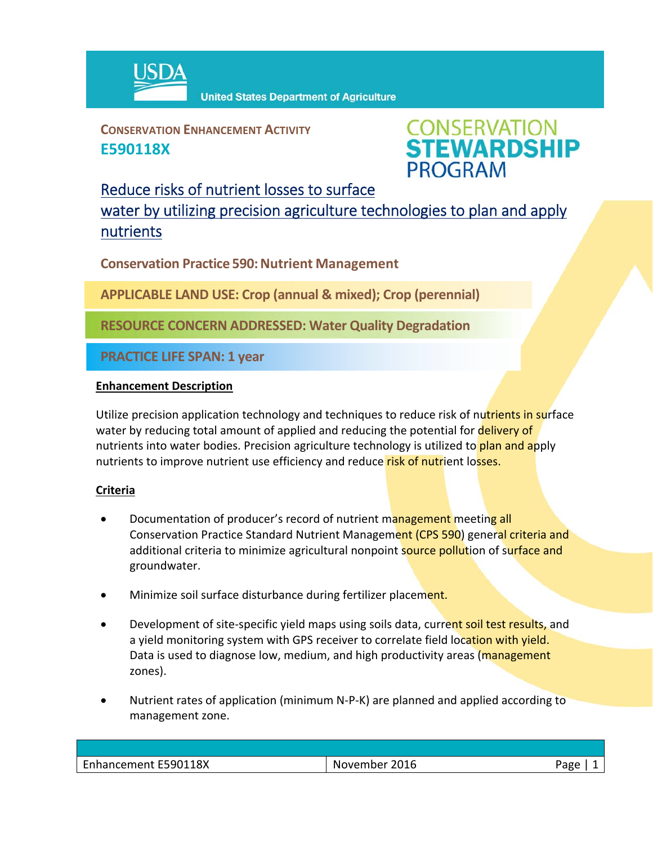

**CONSERVATION ENHANCEMENT ACTIVITY E590118X**



## Reduce risks of nutrient losses to surface

water by utilizing precision agriculture technologies to plan and apply nutrients

**Conservation Practice 590: Nutrient Management** 

**APPLICABLE LAND USE: Crop (annual & mixed); Crop (perennial)**

**RESOURCE CONCERN ADDRESSED: Water Quality Degradation**

**PRACTICE LIFE SPAN: 1 year**

## **Enhancement Description**

Utilize precision application technology and techniques to reduce risk of nutrients in surface water by reducing total amount of applied and reducing the potential for **delivery of** nutrients into water bodies. Precision agriculture technology is utilized to plan and apply nutrients to improve nutrient use efficiency and reduce risk of nutrient losses.

## **Criteria**

- Documentation of producer's record of nutrient management meeting all Conservation Practice Standard Nutrient Management (CPS 590) general criteria and additional criteria to minimize agricultural nonpoint source pollution of surface and groundwater.
- Minimize soil surface disturbance during fertilizer placement.
- Development of site-specific yield maps using soils data, current soil test results, and a yield monitoring system with GPS receiver to correlate field location with yield. Data is used to diagnose low, medium, and high productivity areas (management zones).
- Nutrient rates of application (minimum N‐P‐K) are planned and applied according to management zone.

| Enhancement E590118X | November 2016 | Aסמ <sup>ר</sup> |
|----------------------|---------------|------------------|
|                      |               |                  |